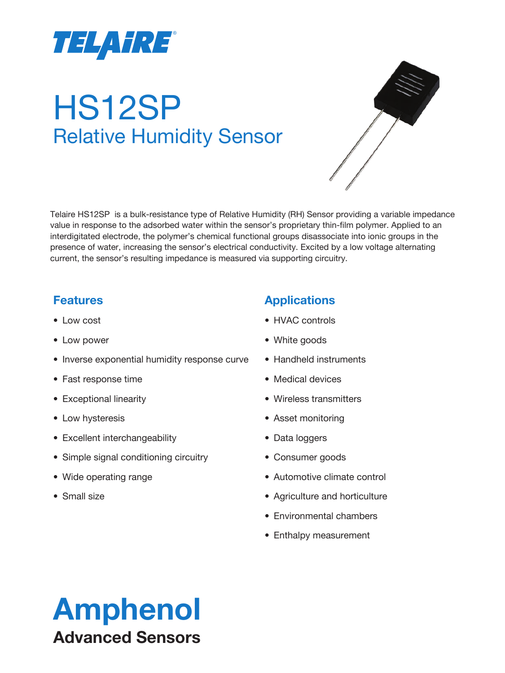

# HS12SP Relative Humidity Sensor



Telaire HS12SP is a bulk-resistance type of Relative Humidity (RH) Sensor providing a variable impedance value in response to the adsorbed water within the sensor's proprietary thin-film polymer. Applied to an interdigitated electrode, the polymer's chemical functional groups disassociate into ionic groups in the presence of water, increasing the sensor's electrical conductivity. Excited by a low voltage alternating current, the sensor's resulting impedance is measured via supporting circuitry.

#### **Features**

- Low cost
- Low power
- Inverse exponential humidity response curve
- Fast response time
- Exceptional linearity
- Low hysteresis
- Excellent interchangeability
- Simple signal conditioning circuitry
- Wide operating range
- Small size

#### **Applications**

- HVAC controls
- White goods
- Handheld instruments
- Medical devices
- Wireless transmitters
- Asset monitoring
- Data loggers
- Consumer goods
- Automotive climate control
- Agriculture and horticulture
- Environmental chambers
- Enthalpy measurement

# Amphenol Advanced Sensors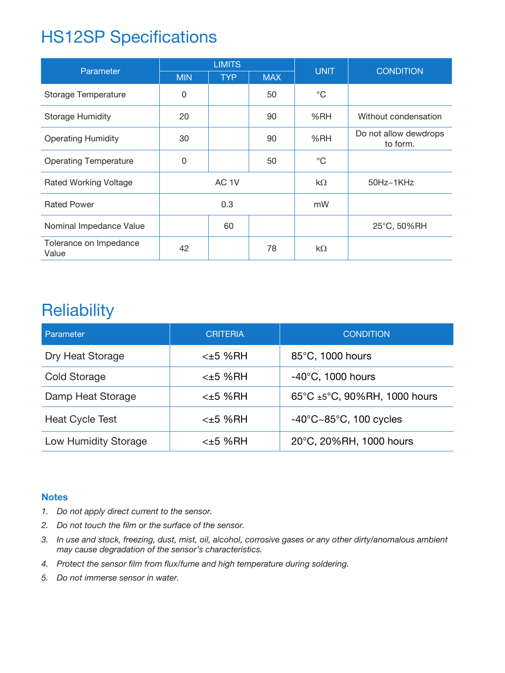# HS12SP Specifications

| Parameter                       | <b>LIMITS</b> |            |            | <b>UNIT</b>  | <b>CONDITION</b>                  |  |
|---------------------------------|---------------|------------|------------|--------------|-----------------------------------|--|
|                                 | <b>MIN</b>    | <b>TYP</b> | <b>MAX</b> |              |                                   |  |
| <b>Storage Temperature</b>      | 0             |            | 50         | $^{\circ}C$  |                                   |  |
| <b>Storage Humidity</b>         | 20            |            | %RH<br>90  |              | Without condensation              |  |
| <b>Operating Humidity</b>       | 30            |            | 90         | %RH          | Do not allow dewdrops<br>to form. |  |
| <b>Operating Temperature</b>    | $\mathbf 0$   |            | 50         | $^{\circ}$ C |                                   |  |
| <b>Rated Working Voltage</b>    | AC 1V         |            |            | $k\Omega$    | $50Hz - 1KHz$                     |  |
| <b>Rated Power</b>              | 0.3           |            | mW         |              |                                   |  |
| Nominal Impedance Value         |               | 60         |            |              | 25°C, 50%RH                       |  |
| Tolerance on Impedance<br>Value | 42            |            | 78         | $k\Omega$    |                                   |  |

### **Reliability**

| Parameter              | <b>CRITERIA</b> | <b>CONDITION</b>                                   |
|------------------------|-----------------|----------------------------------------------------|
| Dry Heat Storage       | $<\pm 5$ %RH    | 85°C, 1000 hours                                   |
| <b>Cold Storage</b>    | $<\pm 5$ %RH    | $-40^{\circ}$ C, 1000 hours                        |
| Damp Heat Storage      | $<\pm 5$ %RH    | 65°C ±5°C, 90%RH, 1000 hours                       |
| <b>Heat Cycle Test</b> | $<\pm 5$ %RH    | $-40^{\circ}$ C $\sim$ 85 $^{\circ}$ C, 100 cycles |
| Low Humidity Storage   | <±5 %RH         | 20°C, 20%RH, 1000 hours                            |

#### **Notes**

- *1. Do not apply direct current to the sensor.*
- *2. Do not touch the film or the surface of the sensor.*
- *3. In use and stock, freezing, dust, mist, oil, alcohol, corrosive gases or any other dirty/anomalous ambient may cause degradation of the sensor's characteristics.*
- *4. Protect the sensor film from flux/fume and high temperature during soldering.*
- *5. Do not immerse sensor in water.*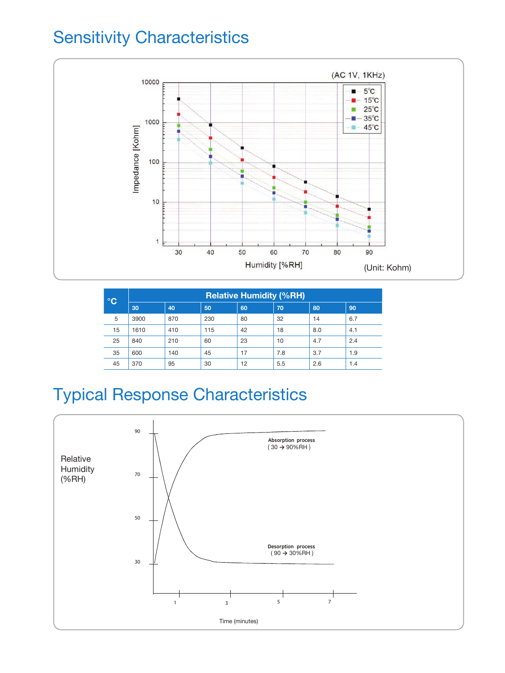# Sensitivity Characteristics



| <b>PC</b> | <b>Relative Humidity (%RH)</b> |     |     |    |     |     |     |
|-----------|--------------------------------|-----|-----|----|-----|-----|-----|
|           | 30                             | 40  | 50  | 60 | 70  | 80  | 90  |
| 5         | 3900                           | 870 | 230 | 80 | 32  | 14  | 6.7 |
| 15        | 1610                           | 410 | 115 | 42 | 18  | 8.0 | 4.1 |
| 25        | 840                            | 210 | 60  | 23 | 10  | 4.7 | 2.4 |
| 35        | 600                            | 140 | 45  | 17 | 7.8 | 3.7 | 1.9 |
| 45        | 370                            | 95  | 30  | 12 | 5.5 | 2.6 | 1.4 |

# Typical Response Characteristics